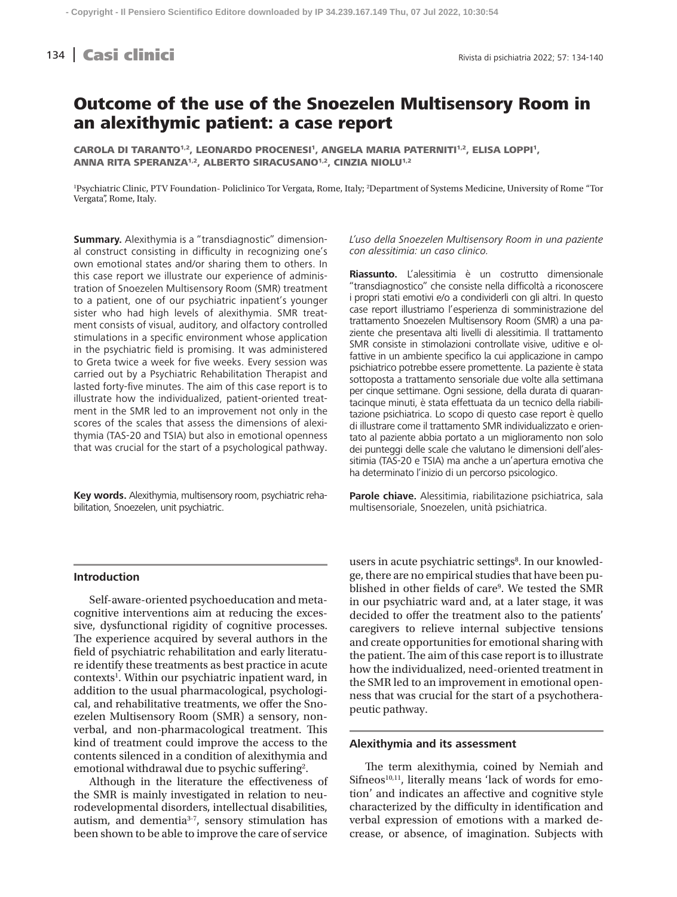# **134 Casi clinici** Rivista di psichiatria 2022; 57: 134-140

# Outcome of the use of the Snoezelen Multisensory Room in an alexithymic patient: a case report

CAROLA DI TARANTO<sup>1,2</sup>, LEONARDO PROCENESI<sup>1</sup>, ANGELA MARIA PATERNITI<sup>1,2</sup>, ELISA LOPPI<sup>1</sup>, ANNA RITA SPERANZA<sup>1,2</sup>, ALBERTO SIRACUSANO<sup>1,2</sup>, CINZIA NIOLU<sup>1,2</sup>

<sup>1</sup>Psychiatric Clinic, PTV Foundation- Policlinico Tor Vergata, Rome, Italy; <sup>2</sup>Department of Systems Medicine, University of Rome "Tor Vergata", Rome, Italy.

**Summary.** Alexithymia is a "transdiagnostic" dimensional construct consisting in difficulty in recognizing one's own emotional states and/or sharing them to others. In this case report we illustrate our experience of administration of Snoezelen Multisensory Room (SMR) treatment to a patient, one of our psychiatric inpatient's younger sister who had high levels of alexithymia. SMR treatment consists of visual, auditory, and olfactory controlled stimulations in a specific environment whose application in the psychiatric field is promising. It was administered to Greta twice a week for five weeks. Every session was carried out by a Psychiatric Rehabilitation Therapist and lasted forty-five minutes. The aim of this case report is to illustrate how the individualized, patient-oriented treatment in the SMR led to an improvement not only in the scores of the scales that assess the dimensions of alexithymia (TAS-20 and TSIA) but also in emotional openness that was crucial for the start of a psychological pathway.

**Key words.** Alexithymia, multisensory room, psychiatric rehabilitation, Snoezelen, unit psychiatric.

## *L'uso della Snoezelen Multisensory Room in una paziente con alessitimia: un caso clinico.*

**Riassunto.** L'alessitimia è un costrutto dimensionale "transdiagnostico" che consiste nella difficoltà a riconoscere i propri stati emotivi e/o a condividerli con gli altri. In questo case report illustriamo l'esperienza di somministrazione del trattamento Snoezelen Multisensory Room (SMR) a una paziente che presentava alti livelli di alessitimia. Il trattamento SMR consiste in stimolazioni controllate visive, uditive e olfattive in un ambiente specifico la cui applicazione in campo psichiatrico potrebbe essere promettente. La paziente è stata sottoposta a trattamento sensoriale due volte alla settimana per cinque settimane. Ogni sessione, della durata di quarantacinque minuti, è stata effettuata da un tecnico della riabilitazione psichiatrica. Lo scopo di questo case report è quello di illustrare come il trattamento SMR individualizzato e orientato al paziente abbia portato a un miglioramento non solo dei punteggi delle scale che valutano le dimensioni dell'alessitimia (TAS-20 e TSIA) ma anche a un'apertura emotiva che ha determinato l'inizio di un percorso psicologico.

**Parole chiave.** Alessitimia, riabilitazione psichiatrica, sala multisensoriale, Snoezelen, unità psichiatrica.

### **Introduction**

Self-aware-oriented psychoeducation and metacognitive interventions aim at reducing the excessive, dysfunctional rigidity of cognitive processes. The experience acquired by several authors in the field of psychiatric rehabilitation and early literature identify these treatments as best practice in acute contexts<sup>1</sup>. Within our psychiatric inpatient ward, in addition to the usual pharmacological, psychological, and rehabilitative treatments, we offer the Snoezelen Multisensory Room (SMR) a sensory, nonverbal, and non-pharmacological treatment. This kind of treatment could improve the access to the contents silenced in a condition of alexithymia and emotional withdrawal due to psychic suffering<sup>2</sup>.

Although in the literature the effectiveness of the SMR is mainly investigated in relation to neurodevelopmental disorders, intellectual disabilities, autism, and dementia<sup>3-7</sup>, sensory stimulation has been shown to be able to improve the care of service

users in acute psychiatric settings<sup>8</sup>. In our knowledge, there are no empirical studies that have been published in other fields of care<sup>9</sup>. We tested the SMR in our psychiatric ward and, at a later stage, it was decided to offer the treatment also to the patients' caregivers to relieve internal subjective tensions and create opportunities for emotional sharing with the patient. The aim of this case report is to illustrate how the individualized, need-oriented treatment in the SMR led to an improvement in emotional openness that was crucial for the start of a psychotherapeutic pathway.

## **Alexithymia and its assessment**

The term alexithymia, coined by Nemiah and  $Sifneos<sup>10,11</sup>$ , literally means 'lack of words for emotion' and indicates an affective and cognitive style characterized by the difficulty in identification and verbal expression of emotions with a marked decrease, or absence, of imagination. Subjects with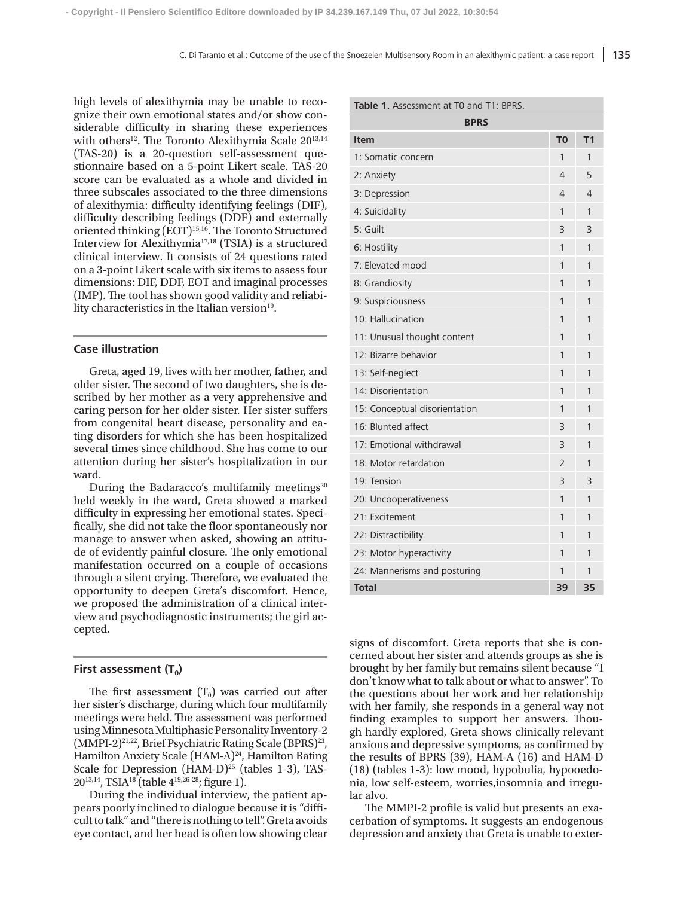high levels of alexithymia may be unable to recognize their own emotional states and/or show considerable difficulty in sharing these experiences with others<sup>12</sup>. The Toronto Alexithymia Scale 20<sup>13,14</sup> (TAS-20) is a 20-question self-assessment questionnaire based on a 5-point Likert scale. TAS-20 score can be evaluated as a whole and divided in three subscales associated to the three dimensions of alexithymia: difficulty identifying feelings (DIF), difficulty describing feelings (DDF) and externally oriented thinking (EOT)<sup>15,16</sup>. The Toronto Structured Interview for Alexithymia17,18 (TSIA) is a structured clinical interview. It consists of 24 questions rated on a 3-point Likert scale with six items to assess four dimensions: DIF, DDF, EOT and imaginal processes (IMP). The tool has shown good validity and reliability characteristics in the Italian version<sup>19</sup>.

### **Case illustration**

Greta, aged 19, lives with her mother, father, and older sister. The second of two daughters, she is described by her mother as a very apprehensive and caring person for her older sister. Her sister suffers from congenital heart disease, personality and eating disorders for which she has been hospitalized several times since childhood. She has come to our attention during her sister's hospitalization in our ward.

During the Badaracco's multifamily meetings $20$ held weekly in the ward, Greta showed a marked difficulty in expressing her emotional states. Specifically, she did not take the floor spontaneously nor manage to answer when asked, showing an attitude of evidently painful closure. The only emotional manifestation occurred on a couple of occasions through a silent crying. Therefore, we evaluated the opportunity to deepen Greta's discomfort. Hence, we proposed the administration of a clinical interview and psychodiagnostic instruments; the girl accepted.

## First assessment (T<sub>0</sub>)

The first assessment  $(T_0)$  was carried out after her sister's discharge, during which four multifamily meetings were held. The assessment was performed using Minnesota Multiphasic Personality Inventory-2 (MMPI-2)<sup>21,22</sup>, Brief Psychiatric Rating Scale (BPRS)<sup>23</sup>, Hamilton Anxiety Scale (HAM-A)<sup>24</sup>, Hamilton Rating Scale for Depression (HAM-D) $^{25}$  (tables 1-3), TAS- $20^{13,14}$ , TSIA<sup>18</sup> (table  $4^{19,26-28}$ ; figure 1).

During the individual interview, the patient appears poorly inclined to dialogue because it is "difficult to talk" and "there is nothing to tell". Greta avoids eye contact, and her head is often low showing clear

| <b>BPRS</b>                   |                |                |  |  |  |
|-------------------------------|----------------|----------------|--|--|--|
| Item                          | T <sub>0</sub> | T <sub>1</sub> |  |  |  |
| 1: Somatic concern            | 1              | 1              |  |  |  |
| 2: Anxiety                    | 4              | 5              |  |  |  |
| 3: Depression                 | 4              | 4              |  |  |  |
| 4: Suicidality                | 1              | 1              |  |  |  |
| 5: Guilt                      | 3              | 3              |  |  |  |
| 6: Hostility                  | 1              | 1              |  |  |  |
| 7: Elevated mood              | 1              | 1              |  |  |  |
| 8: Grandiosity                | 1              | 1              |  |  |  |
| 9: Suspiciousness             | 1              | 1              |  |  |  |
| 10: Hallucination             | 1              | 1              |  |  |  |
| 11: Unusual thought content   | 1              | 1              |  |  |  |
| 12: Bizarre behavior          | 1              | 1              |  |  |  |
| 13: Self-neglect              | 1              | 1              |  |  |  |
| 14: Disorientation            | 1              | 1              |  |  |  |
| 15: Conceptual disorientation | 1              | 1              |  |  |  |
| 16: Blunted affect            | 3              | 1              |  |  |  |
| 17: Emotional withdrawal      | 3              | 1              |  |  |  |
| 18: Motor retardation         | 2              | 1              |  |  |  |
| 19: Tension                   | 3              | 3              |  |  |  |
| 20: Uncooperativeness         | 1              | 1              |  |  |  |
| 21: Excitement                | 1              | 1              |  |  |  |
| 22: Distractibility           | 1              | 1              |  |  |  |
| 23: Motor hyperactivity       | 1              | 1              |  |  |  |
| 24: Mannerisms and posturing  | 1              | 1              |  |  |  |
| <b>Total</b>                  | 39             | 35             |  |  |  |

signs of discomfort. Greta reports that she is concerned about her sister and attends groups as she is brought by her family but remains silent because "I don't know what to talk about or what to answer". To the questions about her work and her relationship with her family, she responds in a general way not finding examples to support her answers. Though hardly explored, Greta shows clinically relevant anxious and depressive symptoms, as confirmed by the results of BPRS (39), HAM-A (16) and HAM-D (18) (tables 1-3): low mood, hypobulia, hypooedonia, low self-esteem, worries,insomnia and irregular alvo.

The MMPI-2 profile is valid but presents an exacerbation of symptoms. It suggests an endogenous depression and anxiety that Greta is unable to exter-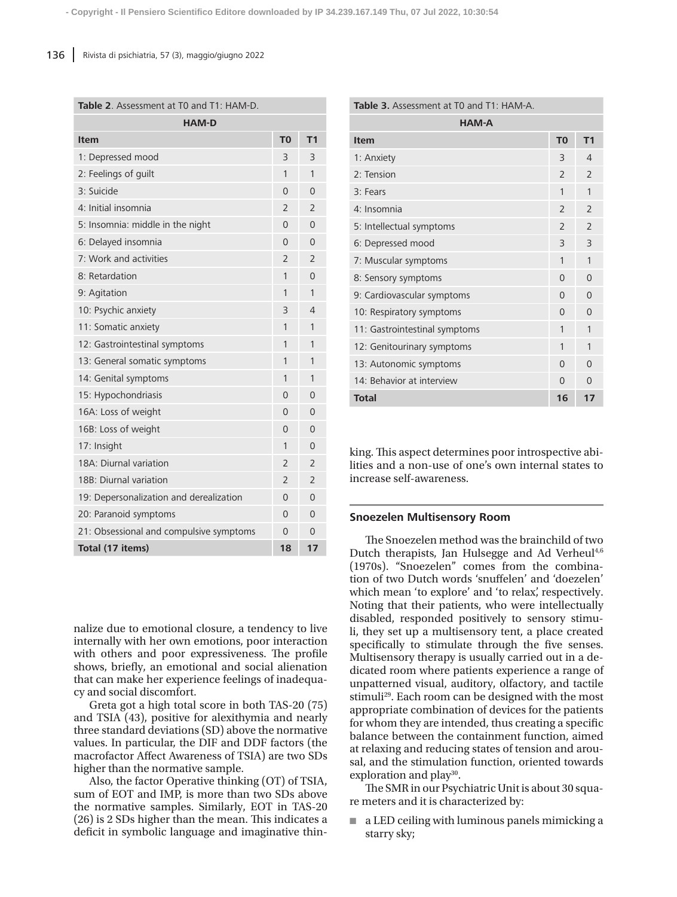#### **Table 2**. Assessment at T0 and T1: HAM-D.

| <b>HAM-D</b><br><b>Item</b>             | T <sub>0</sub> | T <sub>1</sub>           |
|-----------------------------------------|----------------|--------------------------|
| 1: Depressed mood                       | 3              | 3                        |
| 2: Feelings of guilt                    | 1              | 1                        |
| 3: Suicide                              | $\Omega$       | $\Omega$                 |
|                                         |                |                          |
| 4: Initial insomnia                     | $\overline{2}$ | $\overline{2}$           |
| 5: Insomnia: middle in the night        | $\overline{0}$ | $\overline{0}$           |
| 6: Delayed insomnia                     | $\Omega$       | 0                        |
| 7: Work and activities                  | $\overline{2}$ | $\overline{2}$           |
| 8: Retardation                          | 1              | 0                        |
| 9: Agitation                            | 1              | 1                        |
| 10: Psychic anxiety                     | 3              | 4                        |
| 11: Somatic anxiety                     | 1              | 1                        |
| 12: Gastrointestinal symptoms           | 1              | 1                        |
| 13: General somatic symptoms            | 1              | 1                        |
| 14: Genital symptoms                    | 1              | 1                        |
| 15: Hypochondriasis                     | $\Omega$       | 0                        |
| 16A: Loss of weight                     | $\Omega$       | $\Omega$                 |
| 16B: Loss of weight                     | $\Omega$       | 0                        |
| 17: Insight                             | 1              | $\Omega$                 |
| 18A: Diurnal variation                  | $\overline{2}$ | $\overline{2}$           |
| 18B: Diurnal variation                  | $\overline{2}$ | $\overline{\phantom{0}}$ |
| 19: Depersonalization and derealization | $\Omega$       | 0                        |
| 20: Paranoid symptoms                   | $\Omega$       | $\Omega$                 |
| 21: Obsessional and compulsive symptoms | $\Omega$       | 0                        |
| Total (17 items)                        | 18             | 17                       |

nalize due to emotional closure, a tendency to live internally with her own emotions, poor interaction with others and poor expressiveness. The profile shows, briefly, an emotional and social alienation that can make her experience feelings of inadequacy and social discomfort.

Greta got a high total score in both TAS-20 (75) and TSIA (43), positive for alexithymia and nearly three standard deviations (SD) above the normative values. In particular, the DIF and DDF factors (the macrofactor Affect Awareness of TSIA) are two SDs higher than the normative sample.

Also, the factor Operative thinking (OT) of TSIA, sum of EOT and IMP, is more than two SDs above the normative samples. Similarly, EOT in TAS-20 (26) is 2 SDs higher than the mean. This indicates a deficit in symbolic language and imaginative thin-

| <b>Table 3.</b> Assessment at T0 and T1: HAM-A. |                          |                          |  |  |  |  |  |
|-------------------------------------------------|--------------------------|--------------------------|--|--|--|--|--|
| <b>HAM-A</b>                                    |                          |                          |  |  |  |  |  |
| Item                                            | T <sub>0</sub>           | T <sub>1</sub>           |  |  |  |  |  |
| 1: Anxiety                                      | $\overline{\mathcal{E}}$ | $\overline{4}$           |  |  |  |  |  |
| $2:$ Tension                                    | $\overline{\phantom{0}}$ | $\overline{\phantom{0}}$ |  |  |  |  |  |
| 3: Fears                                        | 1                        | 1                        |  |  |  |  |  |
| 4: Insomnia                                     | $\overline{\phantom{0}}$ | $\overline{\phantom{0}}$ |  |  |  |  |  |
| 5: Intellectual symptoms                        | $\overline{\phantom{0}}$ | $\overline{\phantom{0}}$ |  |  |  |  |  |
| 6: Depressed mood                               | $\overline{\mathcal{E}}$ | $\overline{3}$           |  |  |  |  |  |
| 7: Muscular symptoms                            | 1                        | 1                        |  |  |  |  |  |
| 8: Sensory symptoms                             | $\Omega$                 | $\Omega$                 |  |  |  |  |  |
| 9: Cardiovascular symptoms                      | $\Omega$                 | $\Omega$                 |  |  |  |  |  |
| 10: Respiratory symptoms                        | $\Omega$                 | $\Omega$                 |  |  |  |  |  |
| 11: Gastrointestinal symptoms                   | 1                        | 1                        |  |  |  |  |  |
| 12: Genitourinary symptoms                      | 1                        | 1                        |  |  |  |  |  |
| 13: Autonomic symptoms                          | $\Omega$                 | $\Omega$                 |  |  |  |  |  |
| 14: Behavior at interview                       | $\Omega$                 | $\Omega$                 |  |  |  |  |  |
| <b>Total</b>                                    | 16                       | 17                       |  |  |  |  |  |

king. This aspect determines poor introspective abilities and a non-use of one's own internal states to increase self-awareness.

## **Snoezelen Multisensory Room**

The Snoezelen method was the brainchild of two Dutch therapists, Jan Hulsegge and Ad Verheul $4,6$ (1970s). "Snoezelen" comes from the combination of two Dutch words 'snuffelen' and 'doezelen' which mean 'to explore' and 'to relax', respectively. Noting that their patients, who were intellectually disabled, responded positively to sensory stimuli, they set up a multisensory tent, a place created specifically to stimulate through the five senses. Multisensory therapy is usually carried out in a dedicated room where patients experience a range of unpatterned visual, auditory, olfactory, and tactile stimuli<sup>29</sup>. Each room can be designed with the most appropriate combination of devices for the patients for whom they are intended, thus creating a specific balance between the containment function, aimed at relaxing and reducing states of tension and arousal, and the stimulation function, oriented towards exploration and play<sup>30</sup>.

The SMR in our Psychiatric Unit is about 30 square meters and it is characterized by:

■ a LED ceiling with luminous panels mimicking a starry sky;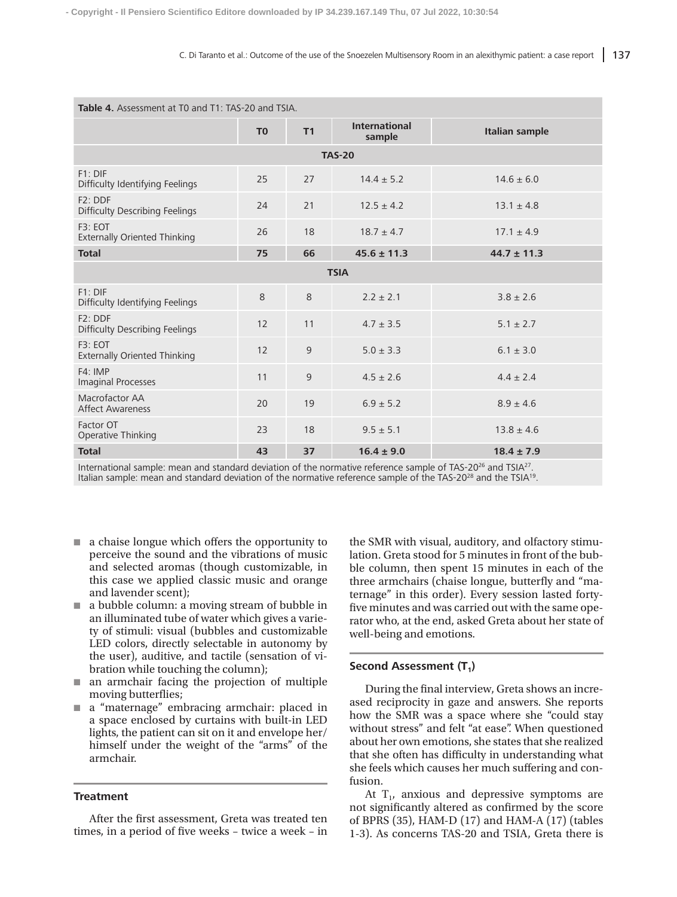| <b>Table 4.</b> Assessment at T0 and T1: TAS-20 and TSIA. |                |    |                                |                       |  |  |  |  |
|-----------------------------------------------------------|----------------|----|--------------------------------|-----------------------|--|--|--|--|
|                                                           | T <sub>0</sub> | T1 | <b>International</b><br>sample | <b>Italian sample</b> |  |  |  |  |
| <b>TAS-20</b>                                             |                |    |                                |                       |  |  |  |  |
| $F1:$ DIF<br>Difficulty Identifying Feelings              | 25             | 27 | $14.4 \pm 5.2$                 | $14.6 \pm 6.0$        |  |  |  |  |
| $F2:$ DDF<br><b>Difficulty Describing Feelings</b>        | 24             | 21 | $12.5 \pm 4.2$                 | $13.1 \pm 4.8$        |  |  |  |  |
| F3: EOT<br><b>Externally Oriented Thinking</b>            | 26             | 18 | $18.7 \pm 4.7$                 | $17.1 \pm 4.9$        |  |  |  |  |
| <b>Total</b>                                              | 75             | 66 | $45.6 \pm 11.3$                | $44.7 \pm 11.3$       |  |  |  |  |
| <b>TSIA</b>                                               |                |    |                                |                       |  |  |  |  |
| $F1:$ DIF<br>Difficulty Identifying Feelings              | 8              | 8  | $2.2 + 2.1$                    | $3.8 + 2.6$           |  |  |  |  |
| F2: DDF<br><b>Difficulty Describing Feelings</b>          | 12             | 11 | $4.7 \pm 3.5$                  | $5.1 \pm 2.7$         |  |  |  |  |
| F3: EOT<br><b>Externally Oriented Thinking</b>            | 12             | 9  | $5.0 \pm 3.3$                  | $6.1 \pm 3.0$         |  |  |  |  |
| F4:IMP<br><b>Imaginal Processes</b>                       | 11             | 9  | $4.5 + 2.6$                    | $4.4 + 2.4$           |  |  |  |  |
| Macrofactor AA<br><b>Affect Awareness</b>                 | 20             | 19 | $6.9 \pm 5.2$                  | $8.9 \pm 4.6$         |  |  |  |  |
| Factor OT<br>Operative Thinking                           | 23             | 18 | $9.5 \pm 5.1$                  | $13.8 \pm 4.6$        |  |  |  |  |
| <b>Total</b>                                              | 43             | 37 | $16.4 \pm 9.0$                 | $18.4 \pm 7.9$        |  |  |  |  |

International sample: mean and standard deviation of the normative reference sample of TAS-20<sup>26</sup> and TSIA<sup>27</sup>. Italian sample: mean and standard deviation of the normative reference sample of the TAS-2028 and the TSIA19.

- a chaise longue which offers the opportunity to perceive the sound and the vibrations of music and selected aromas (though customizable, in this case we applied classic music and orange and lavender scent);
- a bubble column: a moving stream of bubble in an illuminated tube of water which gives a variety of stimuli: visual (bubbles and customizable LED colors, directly selectable in autonomy by the user), auditive, and tactile (sensation of vibration while touching the column);
- an armchair facing the projection of multiple moving butterflies;
- a "maternage" embracing armchair: placed in a space enclosed by curtains with built-in LED lights, the patient can sit on it and envelope her/ himself under the weight of the "arms" of the armchair.

## **Treatment**

After the first assessment, Greta was treated ten times, in a period of five weeks – twice a week – in the SMR with visual, auditory, and olfactory stimulation. Greta stood for 5 minutes in front of the bubble column, then spent 15 minutes in each of the three armchairs (chaise longue, butterfly and "maternage" in this order). Every session lasted fortyfive minutes and was carried out with the same operator who, at the end, asked Greta about her state of well-being and emotions.

## **Second Assessment (T<sub>1</sub>)**

During the final interview, Greta shows an increased reciprocity in gaze and answers. She reports how the SMR was a space where she "could stay without stress" and felt "at ease". When questioned about her own emotions, she states that she realized that she often has difficulty in understanding what she feels which causes her much suffering and confusion.

At  $T_1$ , anxious and depressive symptoms are not significantly altered as confirmed by the score of BPRS (35), HAM-D (17) and HAM-A (17) (tables 1-3). As concerns TAS-20 and TSIA, Greta there is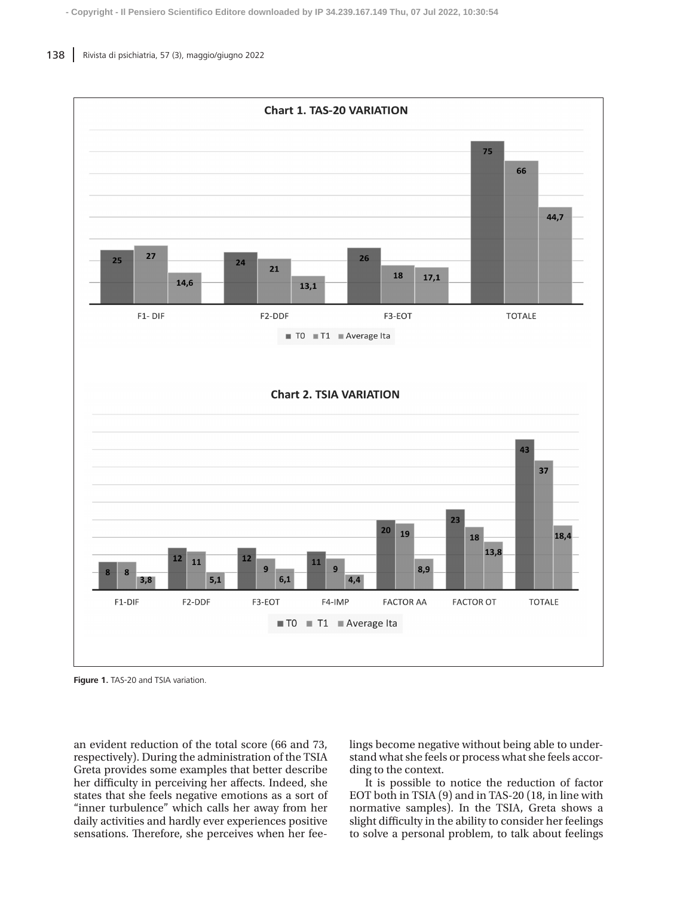

**Figure 1.** TAS-20 and TSIA variation.

an evident reduction of the total score (66 and 73, respectively). During the administration of the TSIA Greta provides some examples that better describe her difficulty in perceiving her affects. Indeed, she states that she feels negative emotions as a sort of "inner turbulence" which calls her away from her daily activities and hardly ever experiences positive sensations. Therefore, she perceives when her feelings become negative without being able to understand what she feels or process what she feels according to the context.

It is possible to notice the reduction of factor EOT both in TSIA (9) and in TAS-20 (18, in line with normative samples). In the TSIA, Greta shows a slight difficulty in the ability to consider her feelings to solve a personal problem, to talk about feelings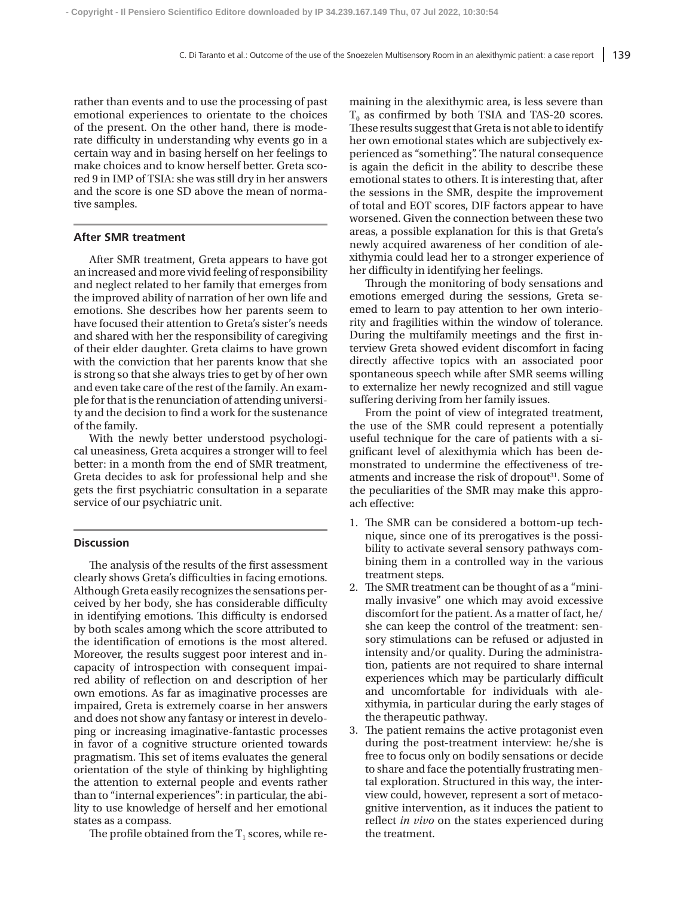rather than events and to use the processing of past emotional experiences to orientate to the choices of the present. On the other hand, there is moderate difficulty in understanding why events go in a certain way and in basing herself on her feelings to make choices and to know herself better. Greta scored 9 in IMP of TSIA: she was still dry in her answers and the score is one SD above the mean of normative samples.

### **After SMR treatment**

After SMR treatment, Greta appears to have got an increased and more vivid feeling of responsibility and neglect related to her family that emerges from the improved ability of narration of her own life and emotions. She describes how her parents seem to have focused their attention to Greta's sister's needs and shared with her the responsibility of caregiving of their elder daughter. Greta claims to have grown with the conviction that her parents know that she is strong so that she always tries to get by of her own and even take care of the rest of the family. An example for that is the renunciation of attending university and the decision to find a work for the sustenance of the family.

With the newly better understood psychological uneasiness, Greta acquires a stronger will to feel better: in a month from the end of SMR treatment, Greta decides to ask for professional help and she gets the first psychiatric consultation in a separate service of our psychiatric unit.

#### **Discussion**

The analysis of the results of the first assessment clearly shows Greta's difficulties in facing emotions. Although Greta easily recognizes the sensations perceived by her body, she has considerable difficulty in identifying emotions. This difficulty is endorsed by both scales among which the score attributed to the identification of emotions is the most altered. Moreover, the results suggest poor interest and incapacity of introspection with consequent impaired ability of reflection on and description of her own emotions. As far as imaginative processes are impaired, Greta is extremely coarse in her answers and does not show any fantasy or interest in developing or increasing imaginative-fantastic processes in favor of a cognitive structure oriented towards pragmatism. This set of items evaluates the general orientation of the style of thinking by highlighting the attention to external people and events rather than to "internal experiences": in particular, the ability to use knowledge of herself and her emotional states as a compass.

The profile obtained from the  $T_1$  scores, while re-

maining in the alexithymic area, is less severe than  $T<sub>0</sub>$  as confirmed by both TSIA and TAS-20 scores. These results suggest that Greta is not able to identify her own emotional states which are subjectively experienced as "something". The natural consequence is again the deficit in the ability to describe these emotional states to others. It is interesting that, after the sessions in the SMR, despite the improvement of total and EOT scores, DIF factors appear to have worsened. Given the connection between these two areas, a possible explanation for this is that Greta's newly acquired awareness of her condition of alexithymia could lead her to a stronger experience of her difficulty in identifying her feelings.

Through the monitoring of body sensations and emotions emerged during the sessions, Greta seemed to learn to pay attention to her own interiority and fragilities within the window of tolerance. During the multifamily meetings and the first interview Greta showed evident discomfort in facing directly affective topics with an associated poor spontaneous speech while after SMR seems willing to externalize her newly recognized and still vague suffering deriving from her family issues.

From the point of view of integrated treatment, the use of the SMR could represent a potentially useful technique for the care of patients with a significant level of alexithymia which has been demonstrated to undermine the effectiveness of treatments and increase the risk of dropout<sup>31</sup>. Some of the peculiarities of the SMR may make this approach effective:

- 1. The SMR can be considered a bottom-up technique, since one of its prerogatives is the possibility to activate several sensory pathways combining them in a controlled way in the various treatment steps.
- 2. The SMR treatment can be thought of as a "minimally invasive" one which may avoid excessive discomfort for the patient. As a matter of fact, he/ she can keep the control of the treatment: sensory stimulations can be refused or adjusted in intensity and/or quality. During the administration, patients are not required to share internal experiences which may be particularly difficult and uncomfortable for individuals with alexithymia, in particular during the early stages of the therapeutic pathway.
- 3. The patient remains the active protagonist even during the post-treatment interview: he/she is free to focus only on bodily sensations or decide to share and face the potentially frustrating mental exploration. Structured in this way, the interview could, however, represent a sort of metacognitive intervention, as it induces the patient to reflect *in vivo* on the states experienced during the treatment.